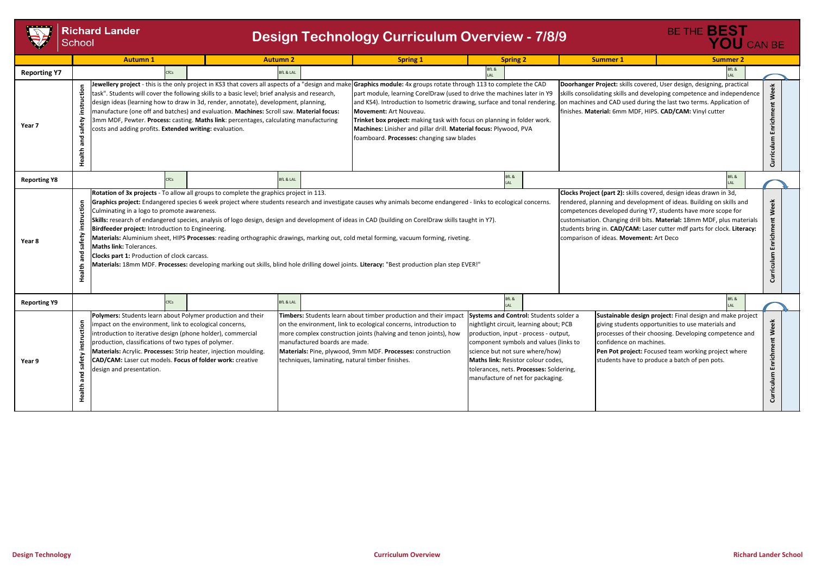

**Richard Lander** School



|                     | <b>Autumn 1</b>                                                                                                                                                                                                                                                                                                                                                                                                                                      |                                                                                                                                                                                                                                                                                                                                                                                                                                                                                                                                                                                                                                                                                                                                                                                                                                                                                                                                                                                                                                                                                                                                                                                                                                                                          | <b>Autumn 2</b>      |                                                                                                                                                                                                                                                                                                                                                             | <b>Spring 1</b><br><b>Spring 2</b>                                                                                                                                                                                                                                                                                                                                                                                                          |                                                                                                                                                                                                                                                                                                                               |             | <b>Summer 1</b>                                                                                                                                                                                      | <b>Summer 2</b>                                                                                                                                                                                                                                                                                    |  |
|---------------------|------------------------------------------------------------------------------------------------------------------------------------------------------------------------------------------------------------------------------------------------------------------------------------------------------------------------------------------------------------------------------------------------------------------------------------------------------|--------------------------------------------------------------------------------------------------------------------------------------------------------------------------------------------------------------------------------------------------------------------------------------------------------------------------------------------------------------------------------------------------------------------------------------------------------------------------------------------------------------------------------------------------------------------------------------------------------------------------------------------------------------------------------------------------------------------------------------------------------------------------------------------------------------------------------------------------------------------------------------------------------------------------------------------------------------------------------------------------------------------------------------------------------------------------------------------------------------------------------------------------------------------------------------------------------------------------------------------------------------------------|----------------------|-------------------------------------------------------------------------------------------------------------------------------------------------------------------------------------------------------------------------------------------------------------------------------------------------------------------------------------------------------------|---------------------------------------------------------------------------------------------------------------------------------------------------------------------------------------------------------------------------------------------------------------------------------------------------------------------------------------------------------------------------------------------------------------------------------------------|-------------------------------------------------------------------------------------------------------------------------------------------------------------------------------------------------------------------------------------------------------------------------------------------------------------------------------|-------------|------------------------------------------------------------------------------------------------------------------------------------------------------------------------------------------------------|----------------------------------------------------------------------------------------------------------------------------------------------------------------------------------------------------------------------------------------------------------------------------------------------------|--|
| <b>Reporting Y7</b> |                                                                                                                                                                                                                                                                                                                                                                                                                                                      | fCs                                                                                                                                                                                                                                                                                                                                                                                                                                                                                                                                                                                                                                                                                                                                                                                                                                                                                                                                                                                                                                                                                                                                                                                                                                                                      | <b>BfL &amp; LAL</b> |                                                                                                                                                                                                                                                                                                                                                             |                                                                                                                                                                                                                                                                                                                                                                                                                                             |                                                                                                                                                                                                                                                                                                                               |             |                                                                                                                                                                                                      | BfL &<br>LAL                                                                                                                                                                                                                                                                                       |  |
| Year 7              | instruction<br>safety<br>and<br>Health                                                                                                                                                                                                                                                                                                                                                                                                               | Jewellery project - this is the only project in KS3 that covers all aspects of a "design and make Graphics module: 4x groups rotate through 113 to complete the CAD<br>task". Students will cover the following skills to a basic level; brief analysis and research,<br>design ideas (learning how to draw in 3d, render, annotate), development, planning,<br>manufacture (one off and batches) and evaluation. Machines: Scroll saw. Material focus:<br>3mm MDF, Pewter. Process: casting. Maths link: percentages, calculating manufacturing<br>costs and adding profits. Extended writing: evaluation.                                                                                                                                                                                                                                                                                                                                                                                                                                                                                                                                                                                                                                                              |                      |                                                                                                                                                                                                                                                                                                                                                             | part module, learning CorelDraw (used to drive the machines later in Y9<br>and KS4). Introduction to Isometric drawing, surface and tonal rendering. on machines and CAD used during the last two terms. Application<br>Movement: Art Nouveau.<br>Trinket box project: making task with focus on planning in folder work.<br>Machines: Linisher and pillar drill. Material focus: Plywood, PVA<br>foamboard. Processes: changing saw blades |                                                                                                                                                                                                                                                                                                                               |             | Doorhanger Project: skills covered, User design, designing, practic<br>skills consolidating skills and developing competence and indepen<br>finishes. Material: 6mm MDF, HIPS. CAD/CAM: Vinyl cutter |                                                                                                                                                                                                                                                                                                    |  |
| <b>Reporting Y8</b> |                                                                                                                                                                                                                                                                                                                                                                                                                                                      | CfCs                                                                                                                                                                                                                                                                                                                                                                                                                                                                                                                                                                                                                                                                                                                                                                                                                                                                                                                                                                                                                                                                                                                                                                                                                                                                     | <b>BfL &amp; LAL</b> |                                                                                                                                                                                                                                                                                                                                                             |                                                                                                                                                                                                                                                                                                                                                                                                                                             |                                                                                                                                                                                                                                                                                                                               | BfL &<br>AI |                                                                                                                                                                                                      | BfL &<br>LAL                                                                                                                                                                                                                                                                                       |  |
| Year 8              | instruction<br>safety<br><b>Maths link: Tolerances.</b><br>and<br>Health                                                                                                                                                                                                                                                                                                                                                                             | Clocks Project (part 2): skills covered, design ideas drawn in 3d,<br>Rotation of 3x projects - To allow all groups to complete the graphics project in 113.<br>Graphics project: Endangered species 6 week project where students research and investigate causes why animals become endangered - links to ecological concerns.<br>rendered, planning and development of ideas. Building on skills an<br>Culminating in a logo to promote awareness.<br>competences developed during Y7, students have more scope for<br>Skills: research of endangered species, analysis of logo design, design and development of ideas in CAD (building on CorelDraw skills taught in Y7).<br>customisation. Changing drill bits. Material: 18mm MDF, plus mate<br>students bring in. CAD/CAM: Laser cutter mdf parts for clock. Liter<br>Birdfeeder project: Introduction to Engineering.<br>comparison of ideas. Movement: Art Deco<br>Materials: Aluminium sheet, HIPS Processes: reading orthographic drawings, marking out, cold metal forming, vacuum forming, riveting.<br><b>Clocks part 1: Production of clock carcass.</b><br>Materials: 18mm MDF. Processes: developing marking out skills, blind hole drilling dowel joints. Literacy: "Best production plan step EVER!" |                      |                                                                                                                                                                                                                                                                                                                                                             |                                                                                                                                                                                                                                                                                                                                                                                                                                             |                                                                                                                                                                                                                                                                                                                               |             |                                                                                                                                                                                                      |                                                                                                                                                                                                                                                                                                    |  |
| <b>Reporting Y9</b> |                                                                                                                                                                                                                                                                                                                                                                                                                                                      | CfCs                                                                                                                                                                                                                                                                                                                                                                                                                                                                                                                                                                                                                                                                                                                                                                                                                                                                                                                                                                                                                                                                                                                                                                                                                                                                     | <b>BfL &amp; LAL</b> |                                                                                                                                                                                                                                                                                                                                                             |                                                                                                                                                                                                                                                                                                                                                                                                                                             |                                                                                                                                                                                                                                                                                                                               | BfL &       |                                                                                                                                                                                                      | BfL &<br>LAL                                                                                                                                                                                                                                                                                       |  |
| Year 9              | Polymers: Students learn about Polymer production and their<br>instruction<br>impact on the environment, link to ecological concerns,<br>introduction to iterative design (phone holder), commercial<br>production, classifications of two types of polymer.<br>Materials: Acrylic. Processes: Strip heater, injection moulding.<br>safety<br>CAD/CAM: Laser cut models. Focus of folder work: creative<br>design and presentation.<br>and<br>Health |                                                                                                                                                                                                                                                                                                                                                                                                                                                                                                                                                                                                                                                                                                                                                                                                                                                                                                                                                                                                                                                                                                                                                                                                                                                                          |                      | Timbers: Students learn about timber production and their impact<br>on the environment, link to ecological concerns, introduction to<br>more complex construction joints (halving and tenon joints), how<br>manufactured boards are made.<br>Materials: Pine, plywood, 9mm MDF. Processes: construction<br>techniques, laminating, natural timber finishes. |                                                                                                                                                                                                                                                                                                                                                                                                                                             | Systems and Control: Students solder a<br>nightlight circuit, learning about; PCB<br>production, input - process - output,<br>component symbols and values (links to<br>science but not sure where/how)<br>Maths link: Resistor colour codes,<br>tolerances, nets. Processes: Soldering,<br>manufacture of net for packaging. |             |                                                                                                                                                                                                      | Sustainable design project: Final design and make pr<br>giving students opportunities to use materials and<br>processes of their choosing. Developing competence<br>confidence on machines.<br>Pen Pot project: Focused team working project wher<br>students have to produce a batch of pen pots. |  |

## **Design Technology Curriculum Overview - 7/8/9**